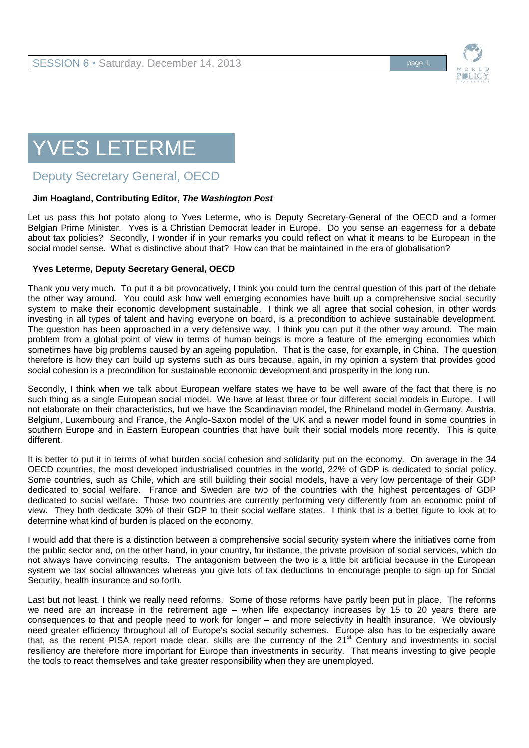

# YVES LETERME

Deputy Secretary General, OECD

## **Jim Hoagland, Contributing Editor,** *The Washington Post*

Let us pass this hot potato along to Yves Leterme, who is Deputy Secretary-General of the OECD and a former Belgian Prime Minister. Yves is a Christian Democrat leader in Europe. Do you sense an eagerness for a debate about tax policies? Secondly, I wonder if in your remarks you could reflect on what it means to be European in the social model sense. What is distinctive about that? How can that be maintained in the era of globalisation?

### **Yves Leterme, Deputy Secretary General, OECD**

Thank you very much. To put it a bit provocatively, I think you could turn the central question of this part of the debate the other way around. You could ask how well emerging economies have built up a comprehensive social security system to make their economic development sustainable. I think we all agree that social cohesion, in other words investing in all types of talent and having everyone on board, is a precondition to achieve sustainable development. The question has been approached in a very defensive way. I think you can put it the other way around. The main problem from a global point of view in terms of human beings is more a feature of the emerging economies which sometimes have big problems caused by an ageing population. That is the case, for example, in China. The question therefore is how they can build up systems such as ours because, again, in my opinion a system that provides good social cohesion is a precondition for sustainable economic development and prosperity in the long run.

Secondly, I think when we talk about European welfare states we have to be well aware of the fact that there is no such thing as a single European social model. We have at least three or four different social models in Europe. I will not elaborate on their characteristics, but we have the Scandinavian model, the Rhineland model in Germany, Austria, Belgium, Luxembourg and France, the Anglo-Saxon model of the UK and a newer model found in some countries in southern Europe and in Eastern European countries that have built their social models more recently. This is quite different.

It is better to put it in terms of what burden social cohesion and solidarity put on the economy. On average in the 34 OECD countries, the most developed industrialised countries in the world, 22% of GDP is dedicated to social policy. Some countries, such as Chile, which are still building their social models, have a very low percentage of their GDP dedicated to social welfare. France and Sweden are two of the countries with the highest percentages of GDP dedicated to social welfare. Those two countries are currently performing very differently from an economic point of view. They both dedicate 30% of their GDP to their social welfare states. I think that is a better figure to look at to determine what kind of burden is placed on the economy.

I would add that there is a distinction between a comprehensive social security system where the initiatives come from the public sector and, on the other hand, in your country, for instance, the private provision of social services, which do not always have convincing results. The antagonism between the two is a little bit artificial because in the European system we tax social allowances whereas you give lots of tax deductions to encourage people to sign up for Social Security, health insurance and so forth.

Last but not least, I think we really need reforms. Some of those reforms have partly been put in place. The reforms we need are an increase in the retirement age – when life expectancy increases by 15 to 20 years there are consequences to that and people need to work for longer – and more selectivity in health insurance. We obviously need greater efficiency throughout all of Europe's social security schemes. Europe also has to be especially aware that, as the recent PISA report made clear, skills are the currency of the 21<sup>st</sup> Century and investments in social resiliency are therefore more important for Europe than investments in security. That means investing to give people the tools to react themselves and take greater responsibility when they are unemployed.